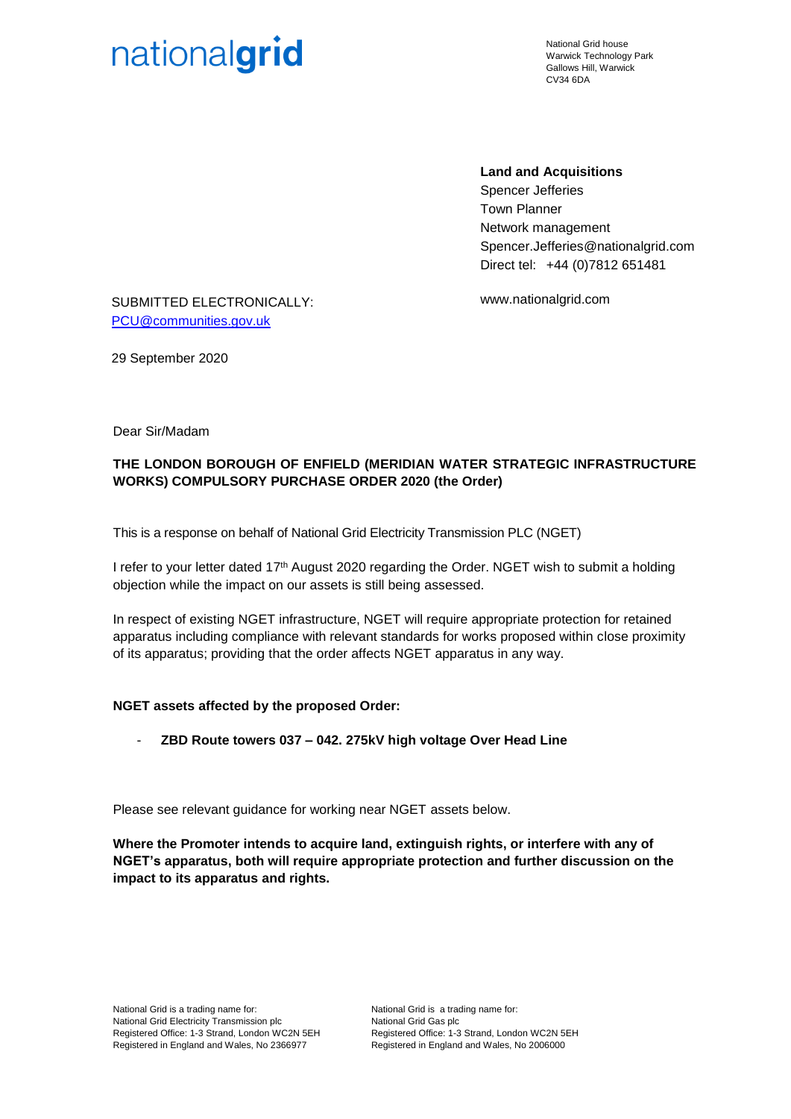

National Grid house Warwick Technology Park Gallows Hill, Warwick CV34 6DA

## **Land and Acquisitions**

Spencer Jefferies Town Planner Network management Spencer.Jefferies@nationalgrid.com Direct tel: +44 (0)7812 651481

www.nationalgrid.com

SUBMITTED ELECTRONICALLY: [PCU@communities.gov.uk](mailto:PCU@communities.gov.uk)

29 September 2020

Dear Sir/Madam

## **THE LONDON BOROUGH OF ENFIELD (MERIDIAN WATER STRATEGIC INFRASTRUCTURE WORKS) COMPULSORY PURCHASE ORDER 2020 (the Order)**

This is a response on behalf of National Grid Electricity Transmission PLC (NGET)

I refer to your letter dated 17<sup>th</sup> August 2020 regarding the Order. NGET wish to submit a holding objection while the impact on our assets is still being assessed.

In respect of existing NGET infrastructure, NGET will require appropriate protection for retained apparatus including compliance with relevant standards for works proposed within close proximity of its apparatus; providing that the order affects NGET apparatus in any way.

## **NGET assets affected by the proposed Order:**

- **ZBD Route towers 037 – 042. 275kV high voltage Over Head Line**

Please see relevant guidance for working near NGET assets below.

**Where the Promoter intends to acquire land, extinguish rights, or interfere with any of NGET's apparatus, both will require appropriate protection and further discussion on the impact to its apparatus and rights.**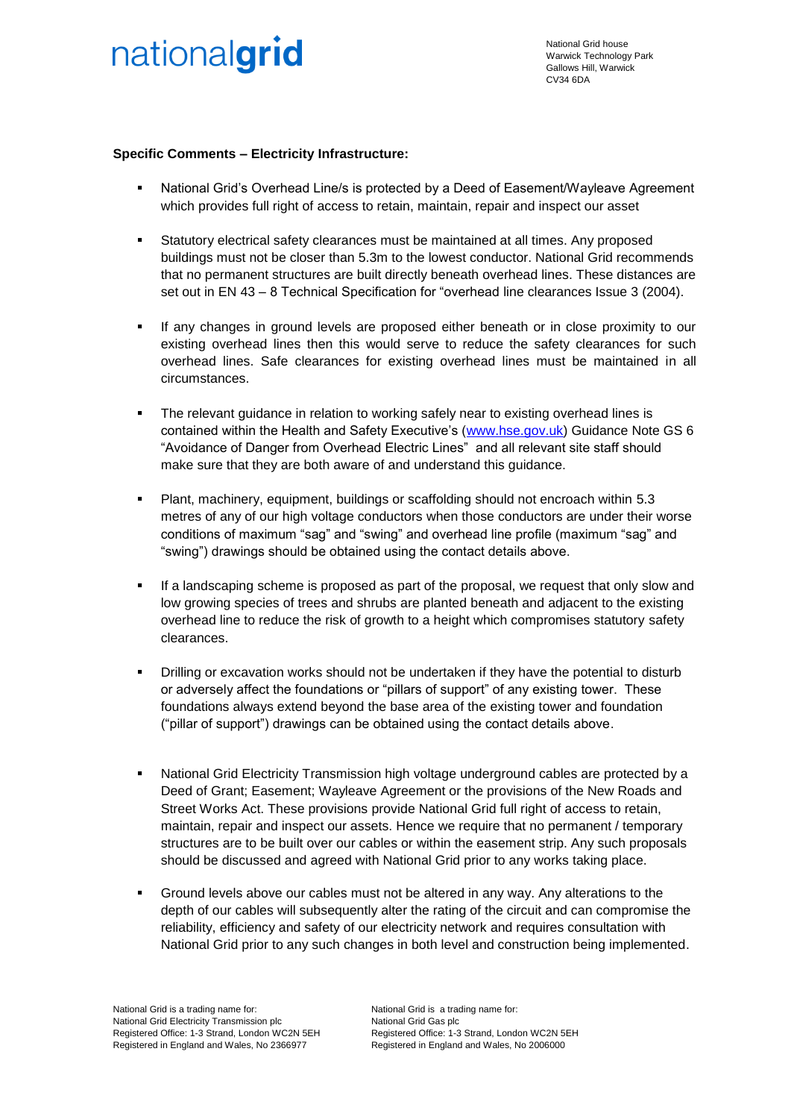

National Grid house Warwick Technology Park Gallows Hill, Warwick CV34 6DA

## **Specific Comments – Electricity Infrastructure:**

- National Grid's Overhead Line/s is protected by a Deed of Easement/Wayleave Agreement which provides full right of access to retain, maintain, repair and inspect our asset
- Statutory electrical safety clearances must be maintained at all times. Any proposed buildings must not be closer than 5.3m to the lowest conductor. National Grid recommends that no permanent structures are built directly beneath overhead lines. These distances are set out in EN 43 – 8 Technical Specification for "overhead line clearances Issue 3 (2004).
- If any changes in ground levels are proposed either beneath or in close proximity to our existing overhead lines then this would serve to reduce the safety clearances for such overhead lines. Safe clearances for existing overhead lines must be maintained in all circumstances.
- **•** The relevant guidance in relation to working safely near to existing overhead lines is contained within the Health and Safety Executive's [\(www.hse.gov.uk\)](http://www.hse.gov.uk/) Guidance Note GS 6 "Avoidance of Danger from Overhead Electric Lines" and all relevant site staff should make sure that they are both aware of and understand this guidance.
- Plant, machinery, equipment, buildings or scaffolding should not encroach within 5.3 metres of any of our high voltage conductors when those conductors are under their worse conditions of maximum "sag" and "swing" and overhead line profile (maximum "sag" and "swing") drawings should be obtained using the contact details above.
- If a landscaping scheme is proposed as part of the proposal, we request that only slow and low growing species of trees and shrubs are planted beneath and adjacent to the existing overhead line to reduce the risk of growth to a height which compromises statutory safety clearances.
- Drilling or excavation works should not be undertaken if they have the potential to disturb or adversely affect the foundations or "pillars of support" of any existing tower. These foundations always extend beyond the base area of the existing tower and foundation ("pillar of support") drawings can be obtained using the contact details above.
- National Grid Electricity Transmission high voltage underground cables are protected by a Deed of Grant; Easement; Wayleave Agreement or the provisions of the New Roads and Street Works Act. These provisions provide National Grid full right of access to retain, maintain, repair and inspect our assets. Hence we require that no permanent / temporary structures are to be built over our cables or within the easement strip. Any such proposals should be discussed and agreed with National Grid prior to any works taking place.
- Ground levels above our cables must not be altered in any way. Any alterations to the depth of our cables will subsequently alter the rating of the circuit and can compromise the reliability, efficiency and safety of our electricity network and requires consultation with National Grid prior to any such changes in both level and construction being implemented.